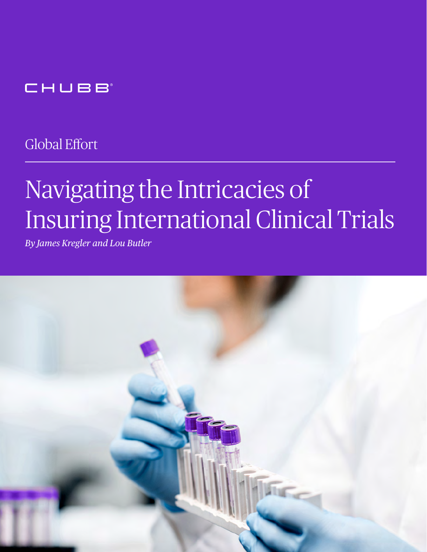# CHUBB

Global Effort

# Navigating the Intricacies of Insuring International Clinical Trials

*By James Kregler and Lou Butler*

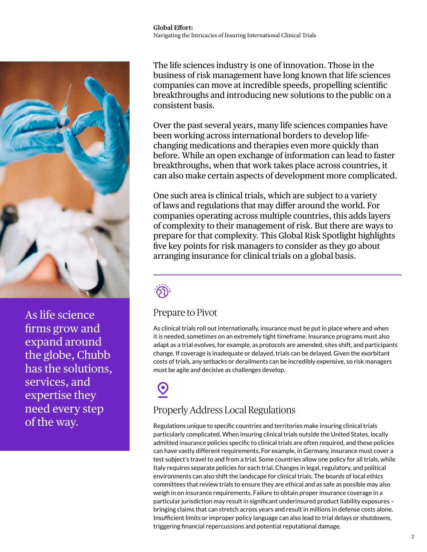

As life science firms grow and expand around the globe, Chubb has the solutions, services, and expertise they need every step of the way.

The life sciences industry is one of innovation. Those in the business of risk management have long known that life sciences companies can move at incredible speeds, propelling scientific breakthroughs and introducing new solutions to the public on a consistent basis.

Over the past several years, many life sciences companies have been working across international borders to develop lifechanging medications and therapies even more quickly than before. While an open exchange of information can lead to faster breakthroughs, when that work takes place across countries, it can also make certain aspects of development more complicated.

One such area is clinical trials, which are subject to a variety of laws and regulations that may differ around the world. For companies operating across multiple countries, this adds layers of complexity to their management of risk. But there are ways to prepare for that complexity. This Global Risk Spotlight highlights five key points for risk managers to consider as they go about arranging insurance for clinical trials on a global basis.



#### Prepare to Pivot

As clinical trials roll out internationally, insurance must be put in place where and when it is needed, sometimes on an extremely tight timeframe. Insurance programs must also adapt as a trial evolves, for example, as protocols are amended, sites shift, and participants change. If coverage is inadequate or delayed, trials can be delayed. Given the exorbitant costs of trials, any setbacks or derailments can be incredibly expensive, so risk managers must be agile and decisive as challenges develop.

# $\boldsymbol{\Theta}$

## Properly Address Local Regulations

Regulations unique to specific countries and territories make insuring clinical trials particularly complicated. When insuring clinical trials outside the United States, locally admitted insurance policies specific to clinical trials are often required, and these policies can have vastly different requirements. For example, in Germany, insurance must cover a test subject's travel to and from a trial. Some countries allow one policy for all trials, while Italy requires separate policies for each trial. Changes in legal, regulatory, and political environments can also shift the landscape for clinical trials. The boards of local ethics committees that review trials to ensure they are ethical and as safe as possible may also weigh in on insurance requirements. Failure to obtain proper insurance coverage in a particular jurisdiction may result in significant underinsured product liability exposures – bringing claims that can stretch across years and result in millions in defense costs alone. Insufficient limits or improper policy language can also lead to trial delays or shutdowns, triggering financial repercussions and potential reputational damage.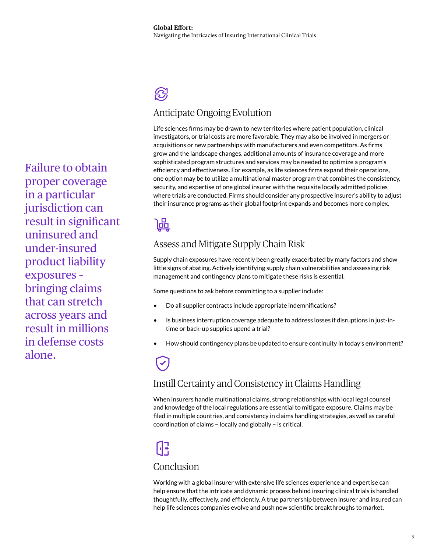# $\mathcal{D}$

#### Anticipate Ongoing Evolution

Life sciences firms may be drawn to new territories where patient population, clinical investigators, or trial costs are more favorable. They may also be involved in mergers or acquisitions or new partnerships with manufacturers and even competitors. As firms grow and the landscape changes, additional amounts of insurance coverage and more sophisticated program structures and services may be needed to optimize a program's efficiency and effectiveness. For example, as life sciences firms expand their operations, one option may be to utilize a multinational master program that combines the consistency, security, and expertise of one global insurer with the requisite locally admitted policies where trials are conducted. Firms should consider any prospective insurer's ability to adjust their insurance programs as their global footprint expands and becomes more complex.

## 匾

## Assess and Mitigate Supply Chain Risk

Supply chain exposures have recently been greatly exacerbated by many factors and show little signs of abating. Actively identifying supply chain vulnerabilities and assessing risk management and contingency plans to mitigate these risks is essential.

Some questions to ask before committing to a supplier include:

- Do all supplier contracts include appropriate indemnifications?
- Is business interruption coverage adequate to address losses if disruptions in just-intime or back-up supplies upend a trial?
- How should contingency plans be updated to ensure continuity in today's environment?

#### Instill Certainty and Consistency in Claims Handling

When insurers handle multinational claims, strong relationships with local legal counsel and knowledge of the local regulations are essential to mitigate exposure. Claims may be filed in multiple countries, and consistency in claims handling strategies, as well as careful coordination of claims – locally and globally – is critical.

# $\mathbf{F}$

#### Conclusion

Working with a global insurer with extensive life sciences experience and expertise can help ensure that the intricate and dynamic process behind insuring clinical trials is handled thoughtfully, effectively, and efficiently. A true partnership between insurer and insured can help life sciences companies evolve and push new scientific breakthroughs to market.

Failure to obtain proper coverage in a particular jurisdiction can result in significant uninsured and under-insured product liability exposures – bringing claims that can stretch across years and result in millions in defense costs alone.